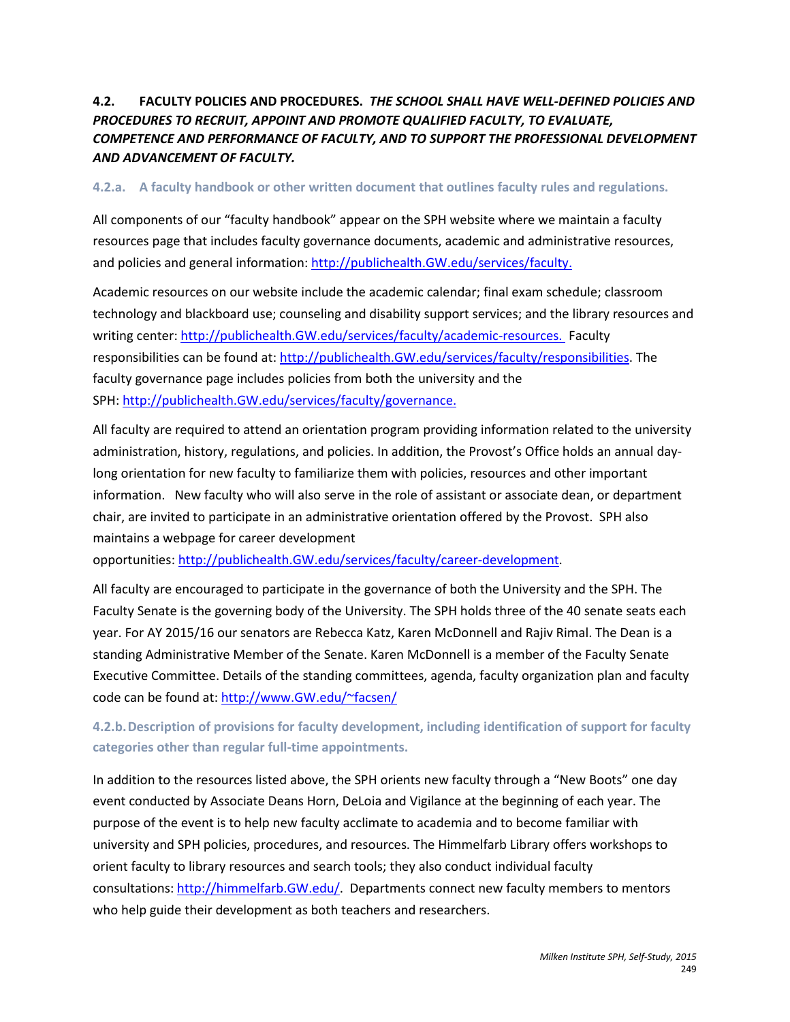# **4.2. FACULTY POLICIES AND PROCEDURES.** *THE SCHOOL SHALL HAVE WELL-DEFINED POLICIES AND PROCEDURES TO RECRUIT, APPOINT AND PROMOTE QUALIFIED FACULTY, TO EVALUATE, COMPETENCE AND PERFORMANCE OF FACULTY, AND TO SUPPORT THE PROFESSIONAL DEVELOPMENT AND ADVANCEMENT OF FACULTY.*

## **4.2.a. A faculty handbook or other written document that outlines faculty rules and regulations.**

All components of our "faculty handbook" appear on the SPH website where we maintain a faculty resources page that includes faculty governance documents, academic and administrative resources, and policies and general information: [http://publichealth.GW.edu/services/faculty.](http://publichealth.gwu.edu/services/faculty)

Academic resources on our website include the academic calendar; final exam schedule; classroom technology and blackboard use; counseling and disability support services; and the library resources and writing center: [http://publichealth.GW.edu/services/faculty/academic-resources.](http://publichealth.gwu.edu/services/faculty/academic-resources) Faculty responsibilities can be found at: [http://publichealth.GW.edu/services/faculty/responsibilities.](http://publichealth.gwu.edu/services/faculty/responsibilities) The faculty governance page includes policies from both the university and the SPH: [http://publichealth.GW.edu/services/faculty/governance.](http://publichealth.gwu.edu/services/faculty/governance)

All faculty are required to attend an orientation program providing information related to the university administration, history, regulations, and policies. In addition, the Provost's Office holds an annual daylong orientation for new faculty to familiarize them with policies, resources and other important information. New faculty who will also serve in the role of assistant or associate dean, or department chair, are invited to participate in an administrative orientation offered by the Provost. SPH also maintains a webpage for career development

opportunities: [http://publichealth.GW.edu/services/faculty/career-development.](http://publichealth.gwu.edu/services/faculty/career-development)

All faculty are encouraged to participate in the governance of both the University and the SPH. The Faculty Senate is the governing body of the University. The SPH holds three of the 40 senate seats each year. For AY 2015/16 our senators are Rebecca Katz, Karen McDonnell and Rajiv Rimal. The Dean is a standing Administrative Member of the Senate. Karen McDonnell is a member of the Faculty Senate Executive Committee. Details of the standing committees, agenda, faculty organization plan and faculty code can be found at[: http://www.GW.edu/~facsen/](http://www.gwu.edu/%7Efacsen/)

**4.2.b.Description of provisions for faculty development, including identification of support for faculty categories other than regular full-time appointments.**

In addition to the resources listed above, the SPH orients new faculty through a "New Boots" one day event conducted by Associate Deans Horn, DeLoia and Vigilance at the beginning of each year. The purpose of the event is to help new faculty acclimate to academia and to become familiar with university and SPH policies, procedures, and resources. The Himmelfarb Library offers workshops to orient faculty to library resources and search tools; they also conduct individual faculty consultations: [http://himmelfarb.GW.edu/.](http://himmelfarb.gwu.edu/) Departments connect new faculty members to mentors who help guide their development as both teachers and researchers.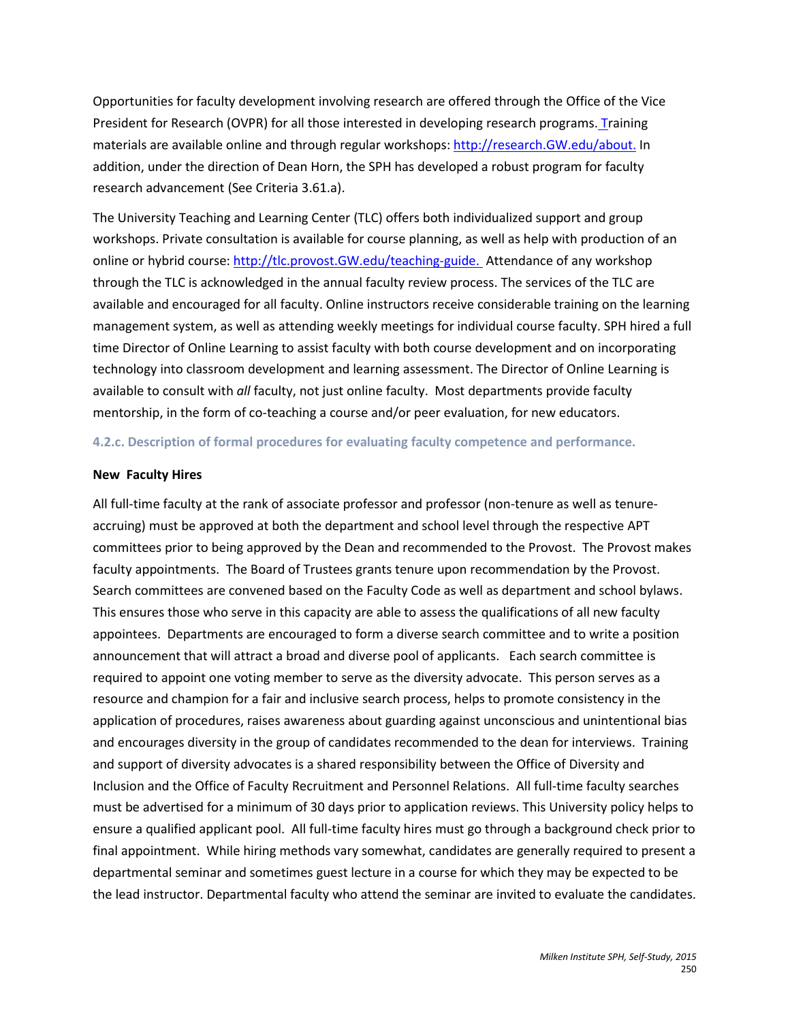Opportunities for faculty development involving research are offered through the Office of the Vice President for Research (OVPR) for all those interested in developing research programs. Training materials are available online and through regular workshops[: http://research.GW.edu/about.](http://research.gwu.edu/about) In addition, under the direction of Dean Horn, the SPH has developed a robust program for faculty research advancement (See Criteria 3.61.a).

The University Teaching and Learning Center (TLC) offers both individualized support and group workshops. Private consultation is available for course planning, as well as help with production of an online or hybrid course: [http://tlc.provost.GW.edu/teaching-guide.](http://tlc.provost.gwu.edu/teaching-guide) Attendance of any workshop through the TLC is acknowledged in the annual faculty review process. The services of the TLC are available and encouraged for all faculty. Online instructors receive considerable training on the learning management system, as well as attending weekly meetings for individual course faculty. SPH hired a full time Director of Online Learning to assist faculty with both course development and on incorporating technology into classroom development and learning assessment. The Director of Online Learning is available to consult with *all* faculty, not just online faculty. Most departments provide faculty mentorship, in the form of co-teaching a course and/or peer evaluation, for new educators.

## **4.2.c. Description of formal procedures for evaluating faculty competence and performance.**

## **New Faculty Hires**

All full-time faculty at the rank of associate professor and professor (non-tenure as well as tenureaccruing) must be approved at both the department and school level through the respective APT committees prior to being approved by the Dean and recommended to the Provost. The Provost makes faculty appointments. The Board of Trustees grants tenure upon recommendation by the Provost. Search committees are convened based on the Faculty Code as well as department and school bylaws. This ensures those who serve in this capacity are able to assess the qualifications of all new faculty appointees. Departments are encouraged to form a diverse search committee and to write a position announcement that will attract a broad and diverse pool of applicants. Each search committee is required to appoint one voting member to serve as the diversity advocate. This person serves as a resource and champion for a fair and inclusive search process, helps to promote consistency in the application of procedures, raises awareness about guarding against unconscious and unintentional bias and encourages diversity in the group of candidates recommended to the dean for interviews. Training and support of diversity advocates is a shared responsibility between the Office of Diversity and Inclusion and the Office of Faculty Recruitment and Personnel Relations. All full-time faculty searches must be advertised for a minimum of 30 days prior to application reviews. This University policy helps to ensure a qualified applicant pool. All full-time faculty hires must go through a background check prior to final appointment. While hiring methods vary somewhat, candidates are generally required to present a departmental seminar and sometimes guest lecture in a course for which they may be expected to be the lead instructor. Departmental faculty who attend the seminar are invited to evaluate the candidates.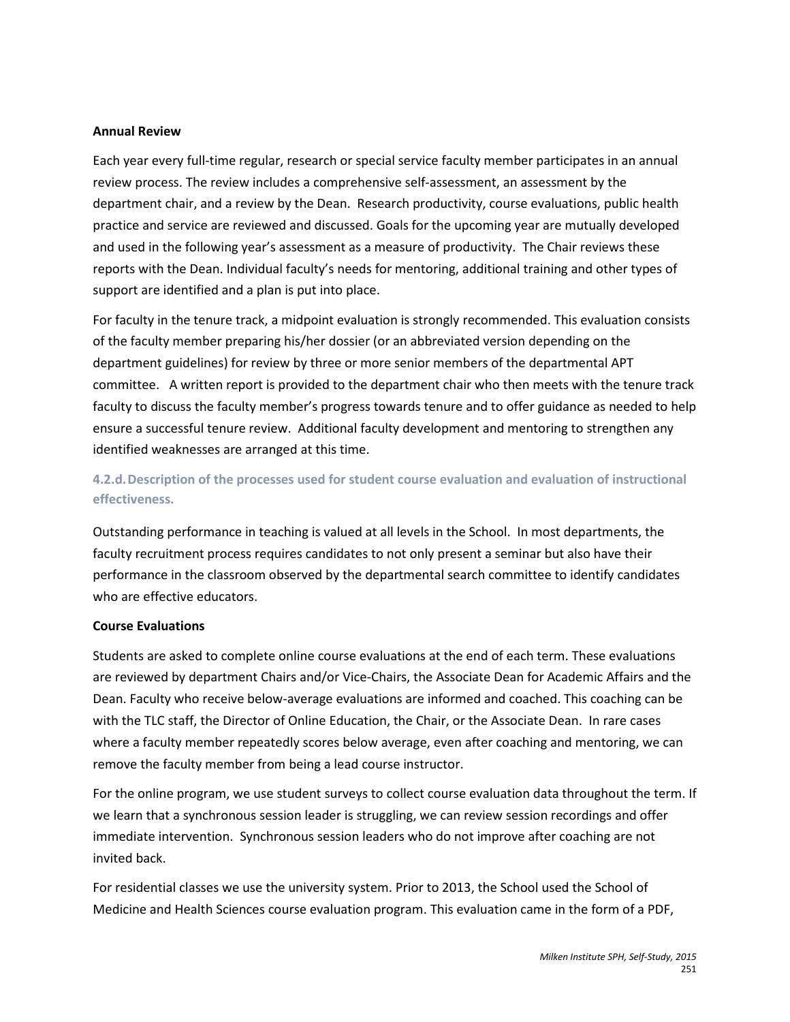#### **Annual Review**

Each year every full-time regular, research or special service faculty member participates in an annual review process. The review includes a comprehensive self-assessment, an assessment by the department chair, and a review by the Dean. Research productivity, course evaluations, public health practice and service are reviewed and discussed. Goals for the upcoming year are mutually developed and used in the following year's assessment as a measure of productivity. The Chair reviews these reports with the Dean. Individual faculty's needs for mentoring, additional training and other types of support are identified and a plan is put into place.

For faculty in the tenure track, a midpoint evaluation is strongly recommended. This evaluation consists of the faculty member preparing his/her dossier (or an abbreviated version depending on the department guidelines) for review by three or more senior members of the departmental APT committee. A written report is provided to the department chair who then meets with the tenure track faculty to discuss the faculty member's progress towards tenure and to offer guidance as needed to help ensure a successful tenure review. Additional faculty development and mentoring to strengthen any identified weaknesses are arranged at this time.

# **4.2.d.Description of the processes used for student course evaluation and evaluation of instructional effectiveness.**

Outstanding performance in teaching is valued at all levels in the School. In most departments, the faculty recruitment process requires candidates to not only present a seminar but also have their performance in the classroom observed by the departmental search committee to identify candidates who are effective educators.

#### **Course Evaluations**

Students are asked to complete online course evaluations at the end of each term. These evaluations are reviewed by department Chairs and/or Vice-Chairs, the Associate Dean for Academic Affairs and the Dean. Faculty who receive below-average evaluations are informed and coached. This coaching can be with the TLC staff, the Director of Online Education, the Chair, or the Associate Dean. In rare cases where a faculty member repeatedly scores below average, even after coaching and mentoring, we can remove the faculty member from being a lead course instructor.

For the online program, we use student surveys to collect course evaluation data throughout the term. If we learn that a synchronous session leader is struggling, we can review session recordings and offer immediate intervention. Synchronous session leaders who do not improve after coaching are not invited back.

For residential classes we use the university system. Prior to 2013, the School used the School of Medicine and Health Sciences course evaluation program. This evaluation came in the form of a PDF,